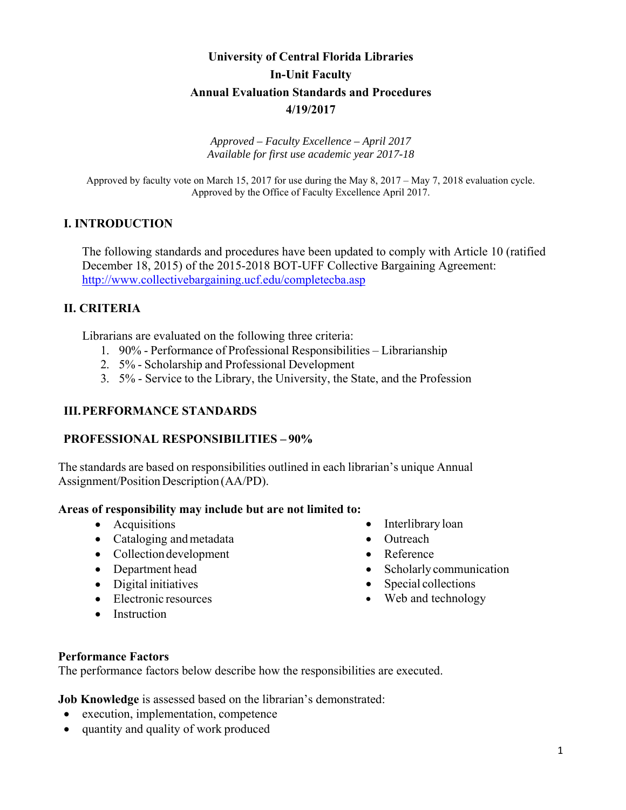# **University of Central Florida Libraries In-Unit Faculty Annual Evaluation Standards and Procedures 4/19/2017**

*Approved – Faculty Excellence – April 2017 Available for first use academic year 2017-18* 

Approved by faculty vote on March 15, 2017 for use during the May 8, 2017 – May 7, 2018 evaluation cycle. Approved by the Office of Faculty Excellence April 2017.

### **I. INTRODUCTION**

The following standards and procedures have been updated to comply with Article 10 (ratified December 18, 2015) of the 2015-2018 BOT-UFF Collective Bargaining Agreement: http://www.collectivebargaining.ucf.edu/completecba.asp

### **II. CRITERIA**

Librarians are evaluated on the following three criteria:

- 1. 90% Performance of Professional Responsibilities Librarianship
- 2. 5% Scholarship and Professional Development
- 3. 5% Service to the Library, the University, the State, and the Profession

### **III.PERFORMANCE STANDARDS**

### **PROFESSIONAL RESPONSIBILITIES – 90%**

The standards are based on responsibilities outlined in each librarian's unique Annual Assignment/Position Description (AA/PD).

#### **Areas of responsibility may include but are not limited to:**

- Acquisitions
- Cataloging and metadata
- Collection development
- Department head
- Digital initiatives
- Electronic resources
- Instruction
- Interlibrary loan
- Outreach
- Reference
- Scholarly communication
- Special collections
- Web and technology

#### **Performance Factors**

The performance factors below describe how the responsibilities are executed.

**Job Knowledge** is assessed based on the librarian's demonstrated:

- execution, implementation, competence
- quantity and quality of work produced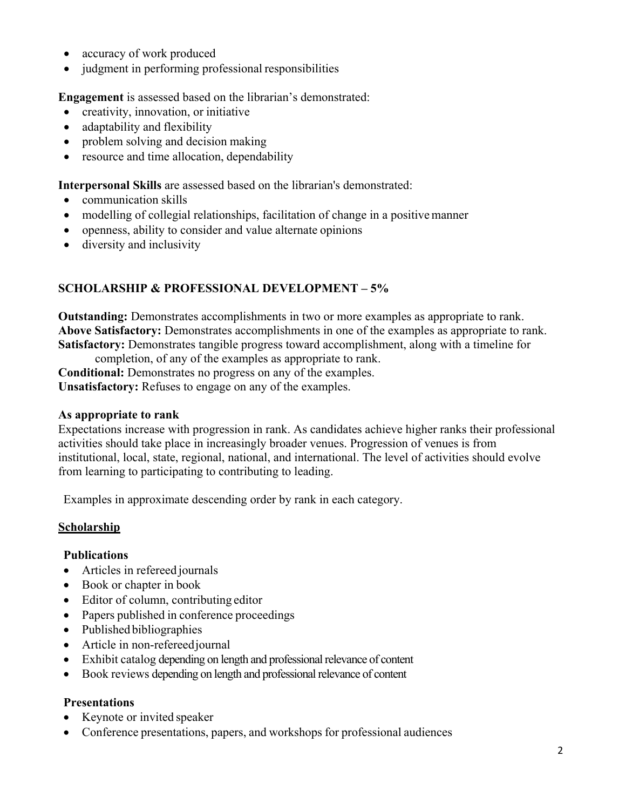- accuracy of work produced
- judgment in performing professional responsibilities

**Engagement** is assessed based on the librarian's demonstrated:

- creativity, innovation, or initiative
- adaptability and flexibility
- problem solving and decision making
- resource and time allocation, dependability

**Interpersonal Skills** are assessed based on the librarian's demonstrated:

- communication skills
- modelling of collegial relationships, facilitation of change in a positive manner
- openness, ability to consider and value alternate opinions
- diversity and inclusivity

## **SCHOLARSHIP & PROFESSIONAL DEVELOPMENT – 5%**

**Outstanding:** Demonstrates accomplishments in two or more examples as appropriate to rank. **Above Satisfactory:** Demonstrates accomplishments in one of the examples as appropriate to rank. **Satisfactory:** Demonstrates tangible progress toward accomplishment, along with a timeline for

completion, of any of the examples as appropriate to rank.

**Conditional:** Demonstrates no progress on any of the examples.

**Unsatisfactory:** Refuses to engage on any of the examples.

### **As appropriate to rank**

Expectations increase with progression in rank. As candidates achieve higher ranks their professional activities should take place in increasingly broader venues. Progression of venues is from institutional, local, state, regional, national, and international. The level of activities should evolve from learning to participating to contributing to leading.

Examples in approximate descending order by rank in each category.

### **Scholarship**

### **Publications**

- Articles in refereed journals
- Book or chapter in book
- Editor of column, contributing editor
- Papers published in conference proceedings
- Published bibliographies
- Article in non-refereed journal
- Exhibit catalog depending on length and professional relevance of content
- Book reviews depending on length and professional relevance of content

### **Presentations**

- Keynote or invited speaker
- Conference presentations, papers, and workshops for professional audiences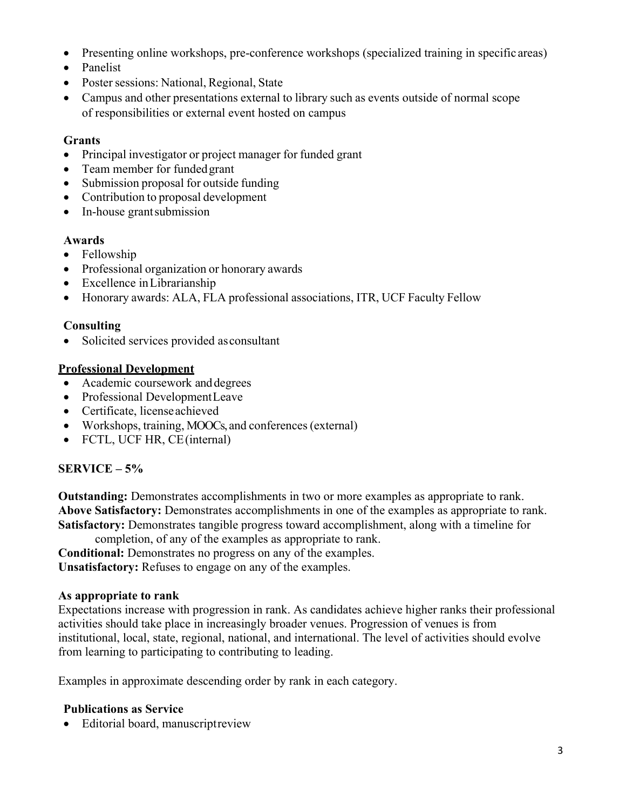- Presenting online workshops, pre-conference workshops (specialized training in specific areas)
- Panelist
- Poster sessions: National, Regional, State
- Campus and other presentations external to library such as events outside of normal scope of responsibilities or external event hosted on campus

### **Grants**

- Principal investigator or project manager for funded grant
- Team member for funded grant
- Submission proposal for outside funding
- Contribution to proposal development
- In-house grant submission

### **Awards**

- Fellowship
- Professional organization or honorary awards
- Excellence in Librarianship
- Honorary awards: ALA, FLA professional associations, ITR, UCF Faculty Fellow

### **Consulting**

Solicited services provided as consultant

### **Professional Development**

- Academic coursework and degrees
- Professional Development Leave
- Certificate, license achieved
- Workshops, training, MOOCs, and conferences (external)
- FCTL, UCF HR, CE (internal)

## **SERVICE – 5%**

**Outstanding:** Demonstrates accomplishments in two or more examples as appropriate to rank. **Above Satisfactory:** Demonstrates accomplishments in one of the examples as appropriate to rank. **Satisfactory:** Demonstrates tangible progress toward accomplishment, along with a timeline for

completion, of any of the examples as appropriate to rank. **Conditional:** Demonstrates no progress on any of the examples. **Unsatisfactory:** Refuses to engage on any of the examples.

### **As appropriate to rank**

Expectations increase with progression in rank. As candidates achieve higher ranks their professional activities should take place in increasingly broader venues. Progression of venues is from institutional, local, state, regional, national, and international. The level of activities should evolve from learning to participating to contributing to leading.

Examples in approximate descending order by rank in each category.

### **Publications as Service**

• Editorial board, manuscript review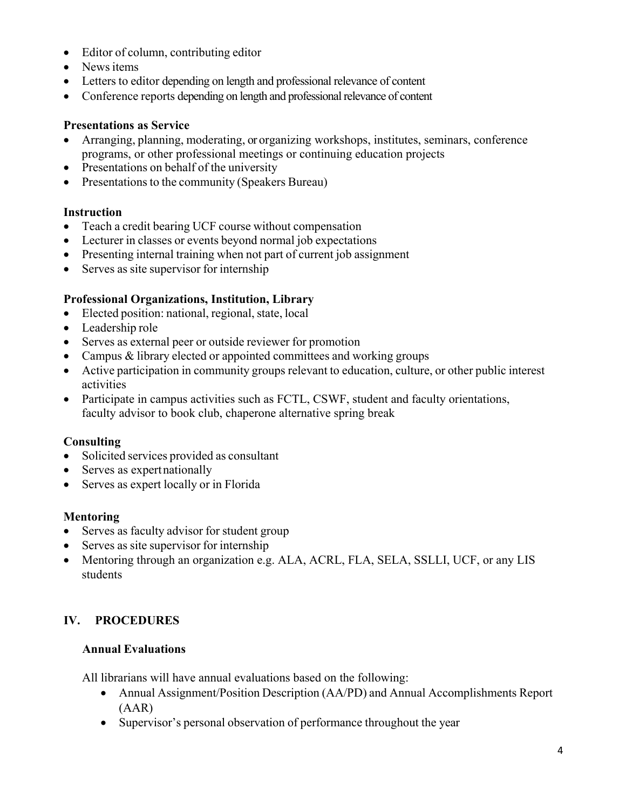- Editor of column, contributing editor
- News items
- Letters to editor depending on length and professional relevance of content
- Conference reports depending on length and professional relevance of content

### **Presentations as Service**

- Arranging, planning, moderating, or organizing workshops, institutes, seminars, conference programs, or other professional meetings or continuing education projects
- Presentations on behalf of the university
- Presentations to the community (Speakers Bureau)

#### **Instruction**

- Teach a credit bearing UCF course without compensation
- Lecturer in classes or events beyond normal job expectations
- Presenting internal training when not part of current job assignment
- Serves as site supervisor for internship

### **Professional Organizations, Institution, Library**

- Elected position: national, regional, state, local
- Leadership role
- Serves as external peer or outside reviewer for promotion
- Campus & library elected or appointed committees and working groups
- Active participation in community groups relevant to education, culture, or other public interest activities
- Participate in campus activities such as FCTL, CSWF, student and faculty orientations, faculty advisor to book club, chaperone alternative spring break

#### **Consulting**

- Solicited services provided as consultant
- Serves as expert nationally
- Serves as expert locally or in Florida

### **Mentoring**

- Serves as faculty advisor for student group
- Serves as site supervisor for internship
- Mentoring through an organization e.g. ALA, ACRL, FLA, SELA, SSLLI, UCF, or any LIS students

## **IV. PROCEDURES**

### **Annual Evaluations**

All librarians will have annual evaluations based on the following:

- Annual Assignment/Position Description (AA/PD) and Annual Accomplishments Report (AAR)
- Supervisor's personal observation of performance throughout the year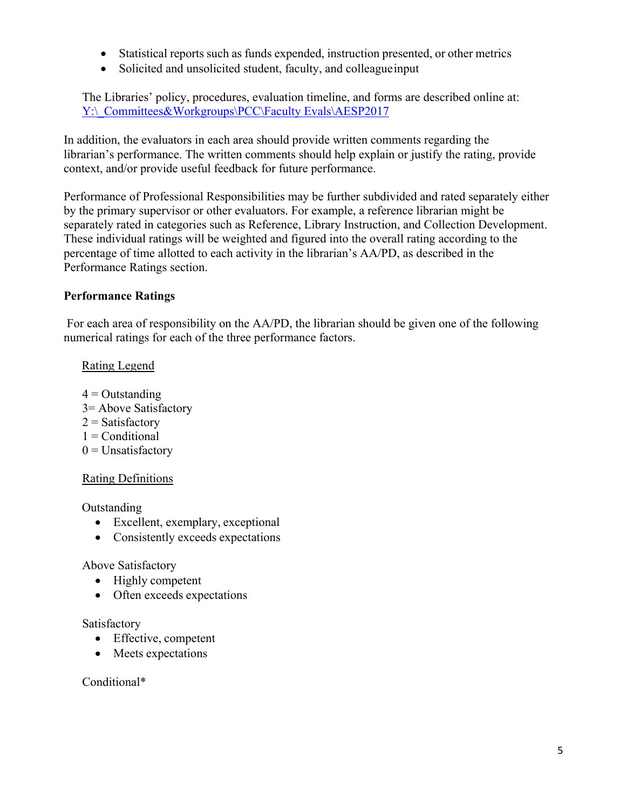- Statistical reports such as funds expended, instruction presented, or other metrics
- Solicited and unsolicited student, faculty, and colleague input

The Libraries' policy, procedures, evaluation timeline, and forms are described online at: Y:\ Committees&Workgroups\PCC\Faculty Evals\AESP2017

In addition, the evaluators in each area should provide written comments regarding the librarian's performance. The written comments should help explain or justify the rating, provide context, and/or provide useful feedback for future performance.

Performance of Professional Responsibilities may be further subdivided and rated separately either by the primary supervisor or other evaluators. For example, a reference librarian might be separately rated in categories such as Reference, Library Instruction, and Collection Development. These individual ratings will be weighted and figured into the overall rating according to the percentage of time allotted to each activity in the librarian's AA/PD, as described in the Performance Ratings section.

### **Performance Ratings**

For each area of responsibility on the AA/PD, the librarian should be given one of the following numerical ratings for each of the three performance factors.

### Rating Legend

- $4 =$ Outstanding
- 3= Above Satisfactory
- $2 =$  Satisfactory
- $1 =$ Conditional
- $0 =$ Unsatisfactory

### Rating Definitions

Outstanding

- Excellent, exemplary, exceptional
- Consistently exceeds expectations

### Above Satisfactory

- Highly competent
- Often exceeds expectations

### Satisfactory

- Effective, competent
- Meets expectations

### Conditional\*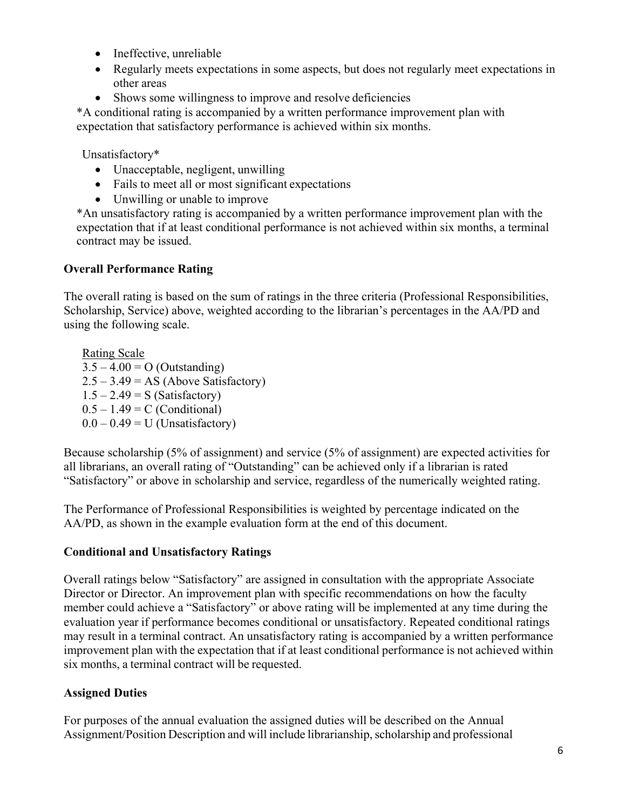- Ineffective, unreliable
- Regularly meets expectations in some aspects, but does not regularly meet expectations in other areas
- Shows some willingness to improve and resolve deficiencies

\*A conditional rating is accompanied by a written performance improvement plan with expectation that satisfactory performance is achieved within six months.

Unsatisfactory\*

- Unacceptable, negligent, unwilling
- Fails to meet all or most significant expectations
- Unwilling or unable to improve

\*An unsatisfactory rating is accompanied by a written performance improvement plan with the expectation that if at least conditional performance is not achieved within six months, a terminal contract may be issued.

## **Overall Performance Rating**

The overall rating is based on the sum of ratings in the three criteria (Professional Responsibilities, Scholarship, Service) above, weighted according to the librarian's percentages in the AA/PD and using the following scale.

Rating Scale  $3.5 - 4.00 = O$  (Outstanding)  $2.5 - 3.49 = AS$  (Above Satisfactory)  $1.5 - 2.49 = S$  (Satisfactory)  $0.5 - 1.49 = C$  (Conditional)  $0.0 - 0.49 = U$  (Unsatisfactory)

Because scholarship (5% of assignment) and service (5% of assignment) are expected activities for all librarians, an overall rating of "Outstanding" can be achieved only if a librarian is rated "Satisfactory" or above in scholarship and service, regardless of the numerically weighted rating.

The Performance of Professional Responsibilities is weighted by percentage indicated on the AA/PD, as shown in the example evaluation form at the end of this document.

## **Conditional and Unsatisfactory Ratings**

Overall ratings below "Satisfactory" are assigned in consultation with the appropriate Associate Director or Director. An improvement plan with specific recommendations on how the faculty member could achieve a "Satisfactory" or above rating will be implemented at any time during the evaluation year if performance becomes conditional or unsatisfactory. Repeated conditional ratings may result in a terminal contract. An unsatisfactory rating is accompanied by a written performance improvement plan with the expectation that if at least conditional performance is not achieved within six months, a terminal contract will be requested.

## **Assigned Duties**

For purposes of the annual evaluation the assigned duties will be described on the Annual Assignment/Position Description and will include librarianship, scholarship and professional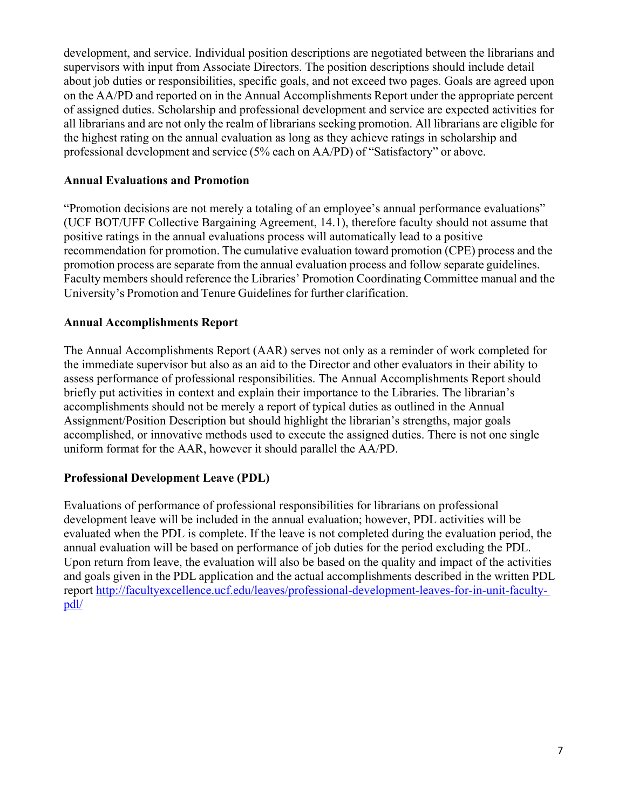development, and service. Individual position descriptions are negotiated between the librarians and supervisors with input from Associate Directors. The position descriptions should include detail about job duties or responsibilities, specific goals, and not exceed two pages. Goals are agreed upon on the AA/PD and reported on in the Annual Accomplishments Report under the appropriate percent of assigned duties. Scholarship and professional development and service are expected activities for all librarians and are not only the realm of librarians seeking promotion. All librarians are eligible for the highest rating on the annual evaluation as long as they achieve ratings in scholarship and professional development and service (5% each on AA/PD) of "Satisfactory" or above.

### **Annual Evaluations and Promotion**

"Promotion decisions are not merely a totaling of an employee's annual performance evaluations" (UCF BOT/UFF Collective Bargaining Agreement, 14.1), therefore faculty should not assume that positive ratings in the annual evaluations process will automatically lead to a positive recommendation for promotion. The cumulative evaluation toward promotion (CPE) process and the promotion process are separate from the annual evaluation process and follow separate guidelines. Faculty members should reference the Libraries' Promotion Coordinating Committee manual and the University's Promotion and Tenure Guidelines for further clarification.

#### **Annual Accomplishments Report**

The Annual Accomplishments Report (AAR) serves not only as a reminder of work completed for the immediate supervisor but also as an aid to the Director and other evaluators in their ability to assess performance of professional responsibilities. The Annual Accomplishments Report should briefly put activities in context and explain their importance to the Libraries. The librarian's accomplishments should not be merely a report of typical duties as outlined in the Annual Assignment/Position Description but should highlight the librarian's strengths, major goals accomplished, or innovative methods used to execute the assigned duties. There is not one single uniform format for the AAR, however it should parallel the AA/PD.

### **Professional Development Leave (PDL)**

Evaluations of performance of professional responsibilities for librarians on professional development leave will be included in the annual evaluation; however, PDL activities will be evaluated when the PDL is complete. If the leave is not completed during the evaluation period, the annual evaluation will be based on performance of job duties for the period excluding the PDL. Upon return from leave, the evaluation will also be based on the quality and impact of the activities and goals given in the PDL application and the actual accomplishments described in the written PDL report http://facultyexcellence.ucf.edu/leaves/professional-development-leaves-for-in-unit-facultypdl/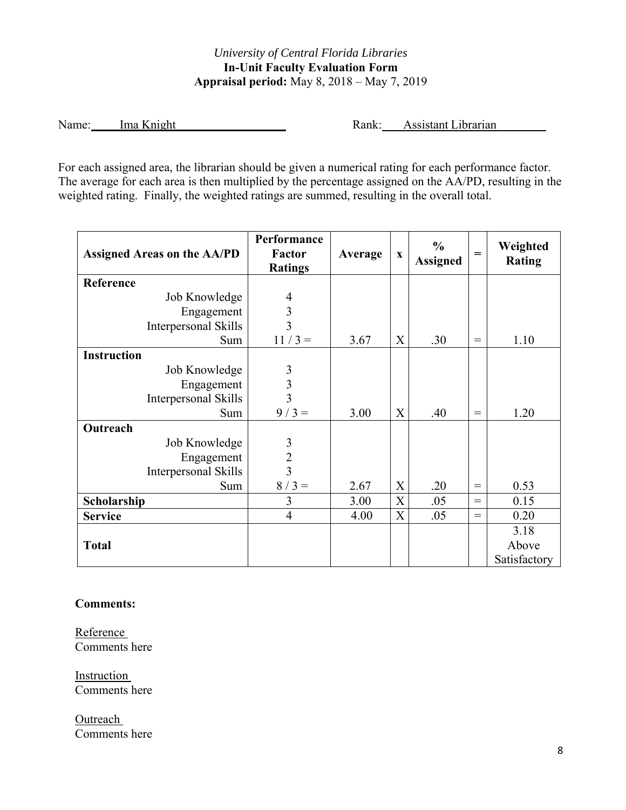## *University of Central Florida Libraries*  **In-Unit Faculty Evaluation Form Appraisal period:** May 8, 2018 – May 7, 2019

Name: Ima Knight Rank: Assistant Librarian

For each assigned area, the librarian should be given a numerical rating for each performance factor. The average for each area is then multiplied by the percentage assigned on the AA/PD, resulting in the weighted rating. Finally, the weighted ratings are summed, resulting in the overall total.

| <b>Assigned Areas on the AA/PD</b> | Performance<br><b>Factor</b><br><b>Ratings</b> | Average | $\mathbf X$ | $\frac{0}{0}$<br><b>Assigned</b> | $=$               | Weighted<br><b>Rating</b> |
|------------------------------------|------------------------------------------------|---------|-------------|----------------------------------|-------------------|---------------------------|
| Reference                          |                                                |         |             |                                  |                   |                           |
| Job Knowledge                      | $\overline{4}$                                 |         |             |                                  |                   |                           |
| Engagement                         | $\mathfrak{Z}$                                 |         |             |                                  |                   |                           |
| Interpersonal Skills               | $\overline{3}$                                 |         |             |                                  |                   |                           |
| Sum                                | $11/3 =$                                       | 3.67    | X           | .30                              | $=$               | 1.10                      |
| <b>Instruction</b>                 |                                                |         |             |                                  |                   |                           |
| Job Knowledge                      | 3                                              |         |             |                                  |                   |                           |
| Engagement                         | $\overline{\mathbf{3}}$                        |         |             |                                  |                   |                           |
| Interpersonal Skills               | $\overline{3}$                                 |         |             |                                  |                   |                           |
| Sum                                | $9/3 =$                                        | 3.00    | X           | .40                              | $=$               | 1.20                      |
| Outreach                           |                                                |         |             |                                  |                   |                           |
| Job Knowledge                      | 3                                              |         |             |                                  |                   |                           |
| Engagement                         | $\overline{2}$                                 |         |             |                                  |                   |                           |
| Interpersonal Skills               | $\overline{3}$                                 |         |             |                                  |                   |                           |
| Sum                                | $8/3 =$                                        | 2.67    | X           | .20                              | $\!\!\!=\!\!\!\!$ | 0.53                      |
| Scholarship                        | 3                                              | 3.00    | X           | .05                              | $=$               | 0.15                      |
| <b>Service</b>                     | $\overline{4}$                                 | 4.00    | $\mathbf X$ | .05                              | $\!\!\!=\!\!\!\!$ | 0.20                      |
|                                    |                                                |         |             |                                  |                   | 3.18                      |
| <b>Total</b>                       |                                                |         |             |                                  |                   | Above                     |
|                                    |                                                |         |             |                                  |                   | Satisfactory              |

### **Comments:**

Reference Comments here

Instruction Comments here

**Outreach** Comments here